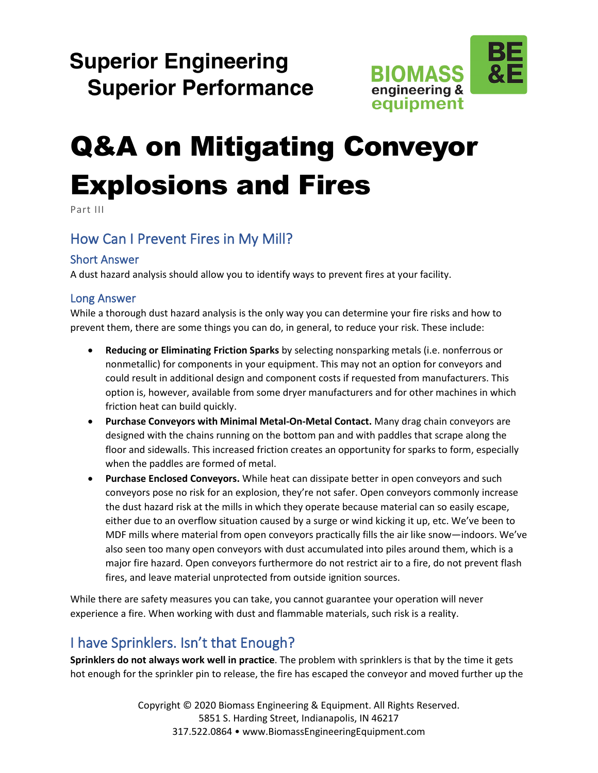## **Superior Engineering Superior Performance**



# Q&A on Mitigating Conveyor Explosions and Fires

Part III

## How Can I Prevent Fires in My Mill?

#### Short Answer

A dust hazard analysis should allow you to identify ways to prevent fires at your facility.

#### Long Answer

While a thorough dust hazard analysis is the only way you can determine your fire risks and how to prevent them, there are some things you can do, in general, to reduce your risk. These include:

- **Reducing or Eliminating Friction Sparks** by selecting nonsparking metals (i.e. nonferrous or nonmetallic) for components in your equipment. This may not an option for conveyors and could result in additional design and component costs if requested from manufacturers. This option is, however, available from some dryer manufacturers and for other machines in which friction heat can build quickly.
- **Purchase Conveyors with Minimal Metal-On-Metal Contact.** Many drag chain conveyors are designed with the chains running on the bottom pan and with paddles that scrape along the floor and sidewalls. This increased friction creates an opportunity for sparks to form, especially when the paddles are formed of metal.
- **Purchase Enclosed Conveyors.** While heat can dissipate better in open conveyors and such conveyors pose no risk for an explosion, they're not safer. Open conveyors commonly increase the dust hazard risk at the mills in which they operate because material can so easily escape, either due to an overflow situation caused by a surge or wind kicking it up, etc. We've been to MDF mills where material from open conveyors practically fills the air like snow—indoors. We've also seen too many open conveyors with dust accumulated into piles around them, which is a major fire hazard. Open conveyors furthermore do not restrict air to a fire, do not prevent flash fires, and leave material unprotected from outside ignition sources.

While there are safety measures you can take, you cannot guarantee your operation will never experience a fire. When working with dust and flammable materials, such risk is a reality.

## I have Sprinklers. Isn't that Enough?

**Sprinklers do not always work well in practice**. The problem with sprinklers is that by the time it gets hot enough for the sprinkler pin to release, the fire has escaped the conveyor and moved further up the

> Copyright © 2020 Biomass Engineering & Equipment. All Rights Reserved. 5851 S. Harding Street, Indianapolis, IN 46217 317.522.0864 • www.BiomassEngineeringEquipment.com